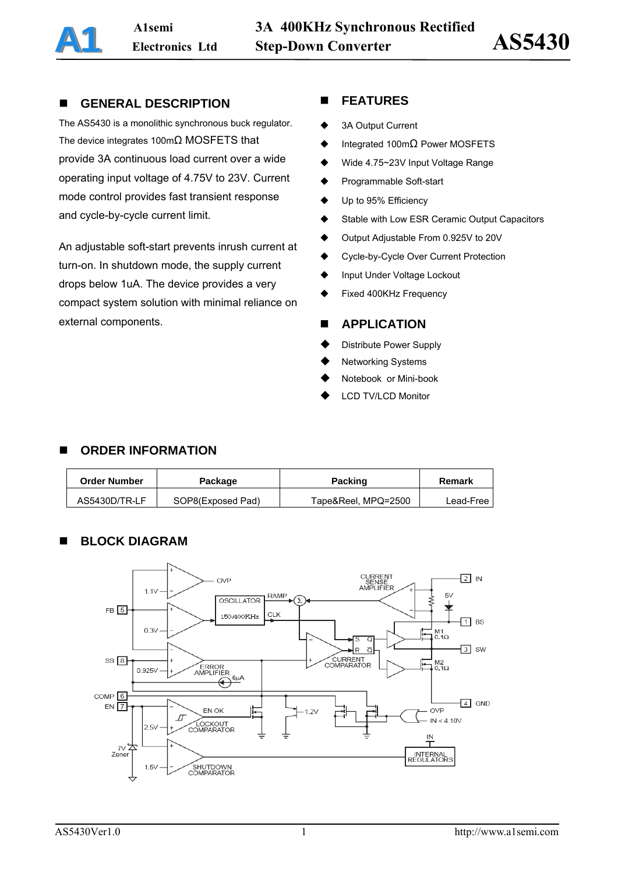## **GENERAL DESCRIPTION**

The AS5430 is a monolithic synchronous buck regulator. The device integrates 100mΩ MOSFETS that provide 3A continuous load current over a wide operating input voltage of 4.75V to 23V. Current mode control provides fast transient response and cycle-by-cycle current limit.

An adjustable soft-start prevents inrush current at turn-on. In shutdown mode, the supply current drops below 1uA. The device provides a very compact system solution with minimal reliance on external components.

## **FEATURES**

- ◆ 3A Output Current
- $\blacklozenge$  Integrated 100m $\Omega$  Power MOSFETS
- ◆ Wide 4.75~23V Input Voltage Range
- ◆ Programmable Soft-start
- ◆ Up to 95% Efficiency
- ◆ Stable with Low ESR Ceramic Output Capacitors
- ◆ Output Adjustable From 0.925V to 20V
- ◆ Cycle-by-Cycle Over Current Protection
- Input Under Voltage Lockout
- Fixed 400KHz Frequency

## **APPLICATION**

- Distribute Power Supply
- Networking Systems
- Notebook or Mini-book
- LCD TV/LCD Monitor

## **ORDER INFORMATION**

| <b>Order Number</b> | Package           | <b>Packing</b>      | Remark    |  |
|---------------------|-------------------|---------------------|-----------|--|
| AS5430D/TR-LF       | SOP8(Exposed Pad) | Tape&Reel, MPQ=2500 | Lead-Free |  |

## **BLOCK DIAGRAM**

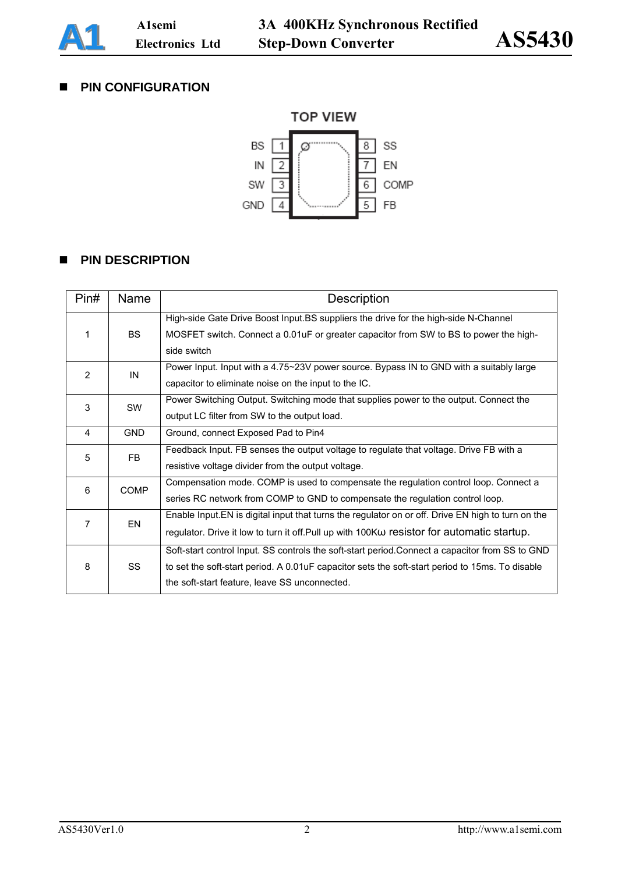

## **PIN CONFIGURATION**



## **PIN DESCRIPTION**

| Pin#           | Name        | Description                                                                                        |
|----------------|-------------|----------------------------------------------------------------------------------------------------|
|                |             | High-side Gate Drive Boost Input.BS suppliers the drive for the high-side N-Channel                |
| 1              | <b>BS</b>   | MOSFET switch. Connect a 0.01uF or greater capacitor from SW to BS to power the high-              |
|                |             | side switch                                                                                        |
| $\overline{2}$ | IN          | Power Input. Input with a 4.75~23V power source. Bypass IN to GND with a suitably large            |
|                |             | capacitor to eliminate noise on the input to the IC.                                               |
| 3              | SW          | Power Switching Output. Switching mode that supplies power to the output. Connect the              |
|                |             | output LC filter from SW to the output load.                                                       |
| 4              | <b>GND</b>  | Ground, connect Exposed Pad to Pin4                                                                |
| 5<br>FB        |             | Feedback Input. FB senses the output voltage to regulate that voltage. Drive FB with a             |
|                |             | resistive voltage divider from the output voltage.                                                 |
| 6              | <b>COMP</b> | Compensation mode. COMP is used to compensate the regulation control loop. Connect a               |
|                |             | series RC network from COMP to GND to compensate the regulation control loop.                      |
| 7              |             | Enable Input. EN is digital input that turns the regulator on or off. Drive EN high to turn on the |
|                | EN          | regulator. Drive it low to turn it off. Pull up with 100KW resistor for automatic startup.         |
|                |             | Soft-start control Input. SS controls the soft-start period.Connect a capacitor from SS to GND     |
| 8              | <b>SS</b>   | to set the soft-start period. A 0.01uF capacitor sets the soft-start period to 15ms. To disable    |
|                |             | the soft-start feature, leave SS unconnected.                                                      |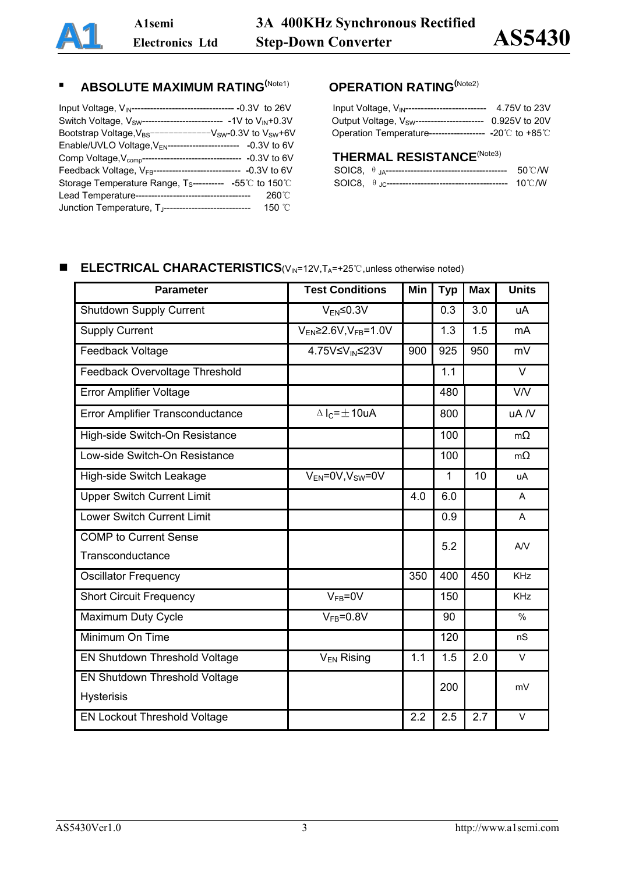# **ABSOLUTE MAXIMUM RATING**<sup>(Note1)</sup> **OPERATION RATING**<sup>(Note2)</sup>

| Input Voltage, V <sub>IN</sub> ---------------------------------- -0.3V to 26V        | Input Voltage, $V_{IN}$ -------------------------- 4.75V to 23V      |
|---------------------------------------------------------------------------------------|----------------------------------------------------------------------|
| Switch Voltage, $V_{SW}$ -------------------------- -1V to $V_{IN}$ +0.3V             | Output Voltage, V <sub>SW</sub> ---------------------- 0.925V to 20V |
| Bootstrap Voltage, $V_{BS}$ -------------V <sub>SW</sub> -0.3V to V <sub>SW</sub> +6V | Operation Temperature------------------ - - 20℃ to +85℃              |
| Enable/UVLO Voltage, $V_{EN}$ ------------------------ -0.3V to 6V                    |                                                                      |
| Comp Voltage, V <sub>comp</sub> -------------------------------- -0.3V to 6V          | <b>THERMAL RESISTANCE(Note3)</b>                                     |
| Feedback Voltage, V <sub>FB</sub> ----------------------------- -0.3V to 6V           | 50℃/W                                                                |
| Storage Temperature Range, $T_{\text{S}}$ ---------- -55°C to 150°C                   |                                                                      |
|                                                                                       |                                                                      |
| Junction Temperature, $T_{\text{J}}$ ------------------------------- 150 °C           |                                                                      |

| Input Voltage, VIN------------------------             | 4.75V to 23V  |
|--------------------------------------------------------|---------------|
| Output Voltage, V <sub>SW</sub> ---------------------- | 0.925V to 20V |
| Operation Temperature----------------- -20°C to +85°C  |               |

# THERMAL RESISTANCE<sup>(Note3)</sup>

|  | $50^{\circ}$ C/W |
|--|------------------|
|  | 10℃/W            |

## **■** ELECTRICAL CHARACTERISTICS(V<sub>IN</sub>=12V,T<sub>A</sub>=+25℃,unless otherwise noted)

| <b>Parameter</b>                    | <b>Test Conditions</b>         | Min | <b>Typ</b> | <b>Max</b> | <b>Units</b>  |
|-------------------------------------|--------------------------------|-----|------------|------------|---------------|
| <b>Shutdown Supply Current</b>      | $V_{EN} \leq 0.3V$             |     | 0.3        | 3.0        | uA            |
| <b>Supply Current</b>               | $V_{EN}$ 2.6V, $V_{FB}$ = 1.0V |     | 1.3        | 1.5        | mA            |
| Feedback Voltage                    | 4.75V≤V <sub>IN</sub> ≤23V     | 900 | 925        | 950        | mV            |
| Feedback Overvoltage Threshold      |                                |     | 1.1        |            | V             |
| <b>Error Amplifier Voltage</b>      |                                |     | 480        |            | V/V           |
| Error Amplifier Transconductance    | $\Delta I_C = \pm 10$ uA       |     | 800        |            | uA /V         |
| High-side Switch-On Resistance      |                                |     | 100        |            | $m\Omega$     |
| Low-side Switch-On Resistance       |                                |     | 100        |            | $m\Omega$     |
| High-side Switch Leakage            | $V_{EN} = 0V, V_{SW} = 0V$     |     | 1          | 10         | uA            |
| <b>Upper Switch Current Limit</b>   |                                | 4.0 | 6.0        |            | A             |
| <b>Lower Switch Current Limit</b>   |                                |     | 0.9        |            | A             |
| <b>COMP</b> to Current Sense        |                                |     | 5.2        |            | AV            |
| Transconductance                    |                                |     |            |            |               |
| <b>Oscillator Frequency</b>         |                                | 350 | 400        | 450        | <b>KHz</b>    |
| <b>Short Circuit Frequency</b>      | $V_{FB} = 0V$                  |     | 150        |            | <b>KHz</b>    |
| Maximum Duty Cycle                  | $V_{FB} = 0.8V$                |     | 90         |            | $\frac{0}{0}$ |
| Minimum On Time                     |                                |     | 120        |            | nS            |
| EN Shutdown Threshold Voltage       | V <sub>EN</sub> Rising         | 1.1 | 1.5        | 2.0        | $\vee$        |
| EN Shutdown Threshold Voltage       |                                |     | 200        |            | mV            |
| <b>Hysterisis</b>                   |                                |     |            |            |               |
| <b>EN Lockout Threshold Voltage</b> |                                | 2.2 | 2.5        | 2.7        | $\vee$        |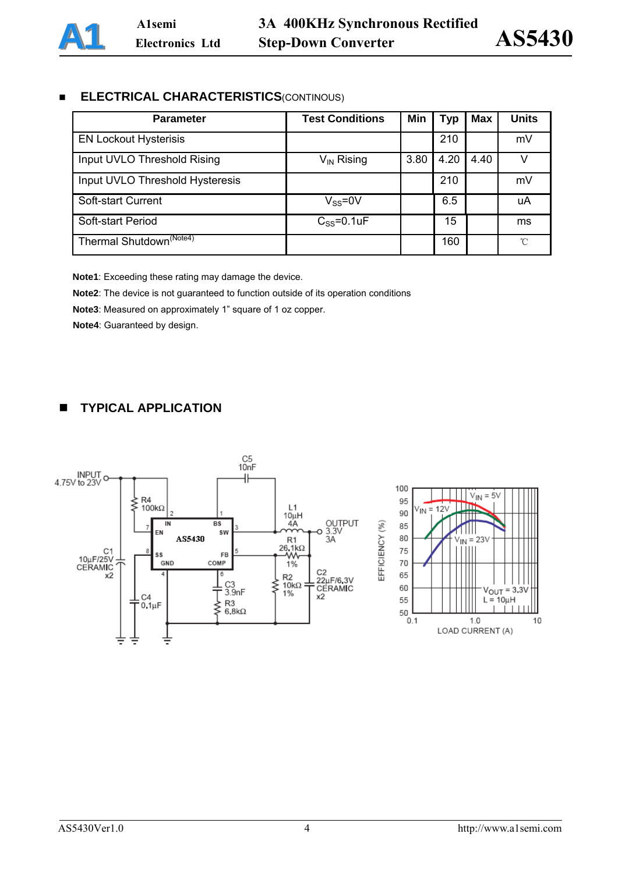## **ELECTRICAL CHARACTERISTICS**(CONTINOUS)

| <b>Parameter</b>                    | <b>Test Conditions</b> | Min  | Typ  | Max  | <b>Units</b> |
|-------------------------------------|------------------------|------|------|------|--------------|
| <b>EN Lockout Hysterisis</b>        |                        |      | 210  |      | mV           |
| Input UVLO Threshold Rising         | $V_{IN}$ Rising        | 3.80 | 4.20 | 4.40 |              |
| Input UVLO Threshold Hysteresis     |                        |      | 210  |      | mV           |
| Soft-start Current                  | $V_{SS} = 0V$          |      | 6.5  |      | uA           |
| Soft-start Period                   | $C_{SS} = 0.1$ uF      |      | 15   |      | ms           |
| Thermal Shutdown <sup>(Note4)</sup> |                        |      | 160  |      | ℃            |

**Note1**: Exceeding these rating may damage the device.

**Note2**: The device is not guaranteed to function outside of its operation conditions

**Note3**: Measured on approximately 1" square of 1 oz copper.

**Note4**: Guaranteed by design.

## **TYPICAL APPLICATION**

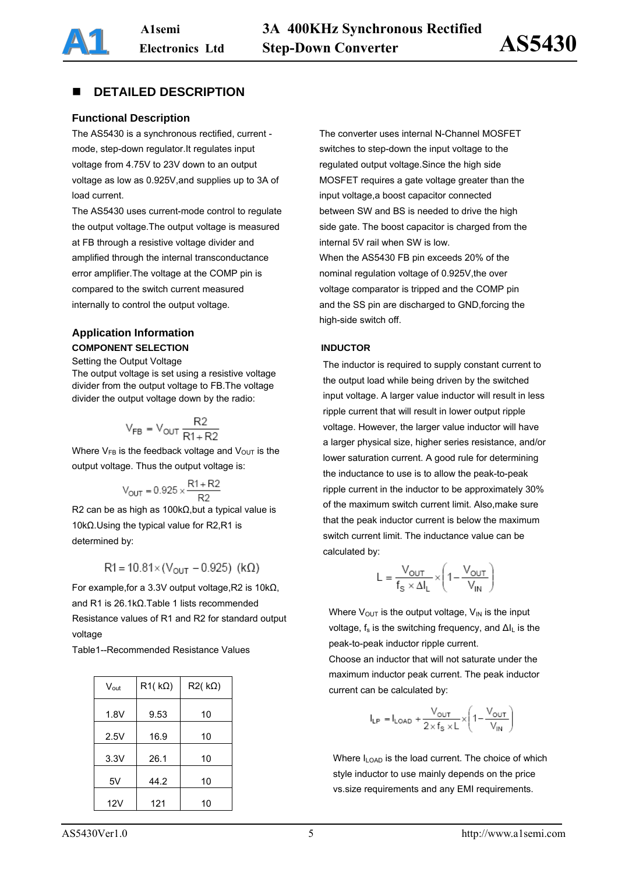## **DETAILED DESCRIPTION**

### **Functional Description**

The AS5430 is a synchronous rectified, current mode, step-down regulator.It regulates input voltage from 4.75V to 23V down to an output voltage as low as 0.925V,and supplies up to 3A of load current.

The AS5430 uses current-mode control to regulate the output voltage.The output voltage is measured at FB through a resistive voltage divider and amplified through the internal transconductance error amplifier.The voltage at the COMP pin is compared to the switch current measured internally to control the output voltage.

## **Application Information COMPONENT SELECTION INDUCTOR**

#### Setting the Output Voltage

The output voltage is set using a resistive voltage divider from the output voltage to FB.The voltage divider the output voltage down by the radio:

$$
V_{FB} = V_{OUT} \frac{R2}{R1 + R2}
$$

Where  $V_{FB}$  is the feedback voltage and  $V_{OUT}$  is the output voltage. Thus the output voltage is:

$$
V_{\text{OUT}} = 0.925 \times \frac{R1 + R2}{R2}
$$

R2 can be as high as 100kΩ,but a typical value is 10kΩ.Using the typical value for R2,R1 is determined by:

$$
R1 = 10.81 \times (V_{OUT} - 0.925)
$$
 (k $\Omega$ )

For example,for a 3.3V output voltage,R2 is 10kΩ, and R1 is 26.1kΩ.Table 1 lists recommended Resistance values of R1 and R2 for standard output voltage

Table1--Recommended Resistance Values

| $V_{\text{out}}$ | $R1(k\Omega)$ | $R2(k\Omega)$ |
|------------------|---------------|---------------|
| 1.8V             | 9.53          | 10            |
| 2.5V             | 16.9          | 10            |
| 3.3V             | 26.1          | 10            |
| 5V               | 44.2          | 10            |
| 12V              | 121           | 10            |

The converter uses internal N-Channel MOSFET switches to step-down the input voltage to the regulated output voltage.Since the high side MOSFET requires a gate voltage greater than the input voltage,a boost capacitor connected between SW and BS is needed to drive the high side gate. The boost capacitor is charged from the internal 5V rail when SW is low. When the AS5430 FB pin exceeds 20% of the nominal regulation voltage of 0.925V,the over voltage comparator is tripped and the COMP pin and the SS pin are discharged to GND,forcing the high-side switch off.

The inductor is required to supply constant current to the output load while being driven by the switched input voltage. A larger value inductor will result in less ripple current that will result in lower output ripple voltage. However, the larger value inductor will have a larger physical size, higher series resistance, and/or lower saturation current. A good rule for determining the inductance to use is to allow the peak-to-peak ripple current in the inductor to be approximately 30% of the maximum switch current limit. Also,make sure that the peak inductor current is below the maximum switch current limit. The inductance value can be calculated by:

$$
L = \frac{V_{OUT}}{f_s \times \Delta I_L} \times \left(1 - \frac{V_{OUT}}{V_{IN}}\right)
$$

Where  $V_{OUT}$  is the output voltage,  $V_{IN}$  is the input voltage,  $f_s$  is the switching frequency, and  $\Delta I_l$  is the peak-to-peak inductor ripple current.

Choose an inductor that will not saturate under the maximum inductor peak current. The peak inductor current can be calculated by:

$$
I_{LP} = I_{LOAD} + \frac{V_{OUT}}{2 \times f_S \times L} \times \left(1 - \frac{V_{OUT}}{V_{IN}}\right)
$$

Where  $I_{\text{LOAD}}$  is the load current. The choice of which style inductor to use mainly depends on the price vs.size requirements and any EMI requirements.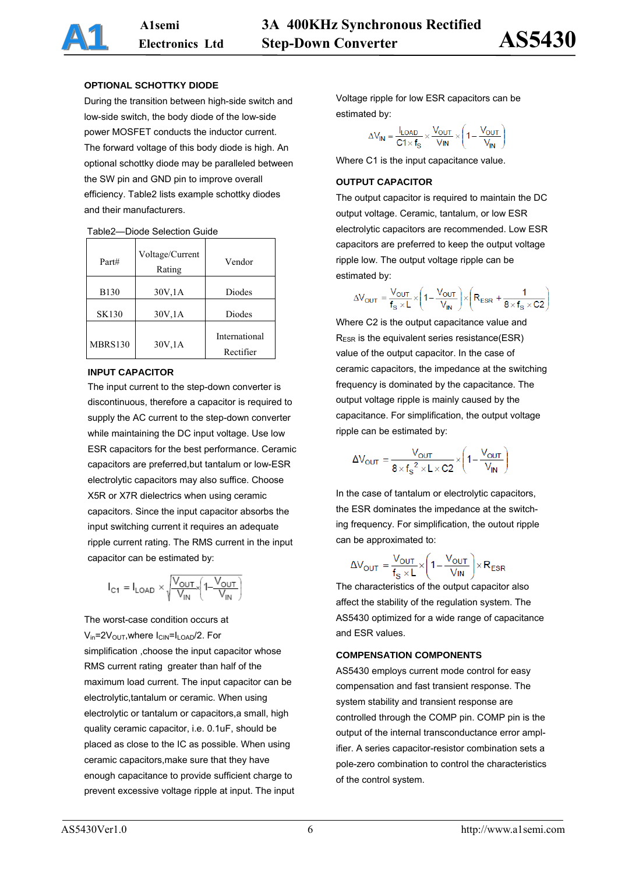#### **OPTIONAL SCHOTTKY DIODE**

During the transition between high-side switch and low-side switch, the body diode of the low-side power MOSFET conducts the inductor current. The forward voltage of this body diode is high. An optional schottky diode may be paralleled between the SW pin and GND pin to improve overall efficiency. Table2 lists example schottky diodes and their manufacturers.

| Part#        | Voltage/Current<br>Rating | Vendor                     |
|--------------|---------------------------|----------------------------|
| <b>B130</b>  | 30V,1A                    | Diodes                     |
| <b>SK130</b> | 30V, 1A                   | Diodes                     |
| MBRS130      | 30V, 1A                   | International<br>Rectifier |

#### Table2—Diode Selection Guide

#### **INPUT CAPACITOR**

 supply the AC current to the step-down converter The input current to the step-down converter is discontinuous, therefore a capacitor is required to while maintaining the DC input voltage. Use low ESR capacitors for the best performance. Ceramic capacitors are preferred,but tantalum or low-ESR electrolytic capacitors may also suffice. Choose X5R or X7R dielectrics when using ceramic capacitors. Since the input capacitor absorbs the input switching current it requires an adequate ripple current rating. The RMS current in the input capacitor can be estimated by:

$$
I_{C1} = I_{\text{LOAD}} \times \sqrt{\frac{V_{\text{OUT}}}{V_{\text{IN}}}} \left( 1 - \frac{V_{\text{OUT}}}{V_{\text{IN}}} \right)
$$

The worst-case condition occurs at  $V_{in}$ =2 $V_{OUT}$ , where  $I_{CIN}$ = $I_{LOAD}$ /2. For simplification ,choose the input capacitor whose RMS current rating greater than half of the maximum load current. The input capacitor can be electrolytic,tantalum or ceramic. When using electrolytic or tantalum or capacitors,a small, high quality ceramic capacitor, i.e. 0.1uF, should be placed as close to the IC as possible. When using ceramic capacitors,make sure that they have enough capacitance to provide sufficient charge to prevent excessive voltage ripple at input. The input Voltage ripple for low ESR capacitors can be estimated by:

 $\Delta V_{IN} = \frac{I_{LOAD}}{C1 \times f_S} \times \frac{V_{OUT}}{V_{IN}} \times \left(1 - \frac{V_{OUT}}{V_{IN}}\right)$ 

Where C1 is the input capacitance value.

#### **OUTPUT CAPACITOR**

The output capacitor is required to maintain the DC output voltage. Ceramic, tantalum, or low ESR electrolytic capacitors are recommended. Low ESR capacitors are preferred to keep the output voltage ripple low. The output voltage ripple can be estimated by:

$$
\Delta V_{OUT} = \frac{V_{OUT}}{f_S \times L} \times \left(1 - \frac{V_{OUT}}{V_{IN}}\right) \times \left(R_{ESR} + \frac{1}{8 \times f_S \times C2}\right)
$$

Where C2 is the output capacitance value and RESR is the equivalent series resistance(ESR) value of the output capacitor. In the case of ceramic capacitors, the impedance at the switching frequency is dominated by the capacitance. The output voltage ripple is mainly caused by the capacitance. For simplification, the output voltage ripple can be estimated by:

$$
\Delta V_{\text{OUT}} = \frac{V_{\text{OUT}}}{8 \times f_{\text{S}}^2 \times L \times C2} \times \left(1 - \frac{V_{\text{OUT}}}{V_{\text{IN}}}\right)
$$

In the case of tantalum or electrolytic capacitors, the ESR dominates the impedance at the switching frequency. For simplification, the outout ripple can be approximated to:

$$
\Delta V_{\text{OUT}} = \frac{V_{\text{OUT}}}{f_{\text{S}} \times L} \times \left(1 - \frac{V_{\text{OUT}}}{V_{\text{IN}}}\right) \times R_{\text{ESR}}
$$

The characteristics of the output capacitor also affect the stability of the regulation system. The AS5430 optimized for a wide range of capacitance and ESR values.

#### **COMPENSATION COMPONENTS**

AS5430 employs current mode control for easy compensation and fast transient response. The system stability and transient response are controlled through the COMP pin. COMP pin is the output of the internal transconductance error amplifier. A series capacitor-resistor combination sets a pole-zero combination to control the characteristics of the control system.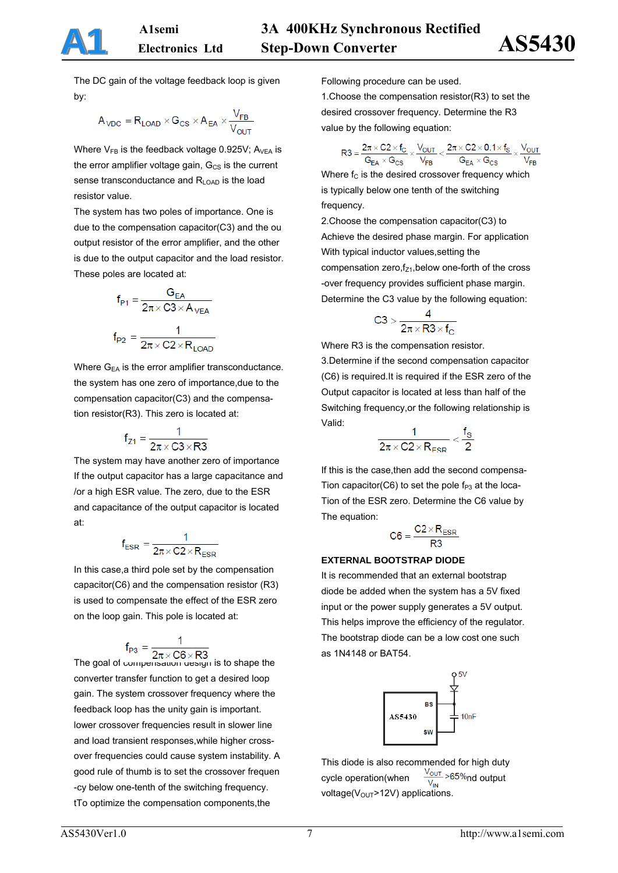The DC gain of the voltage feedback loop is given by:

$$
A_{\text{VDC}} = R_{\text{LOAD}} \times G_{\text{CS}} \times A_{\text{EA}} \times \frac{V_{\text{FB}}}{V_{\text{OUT}}}
$$

Where  $V_{FB}$  is the feedback voltage 0.925V; A<sub>VEA</sub> is the error amplifier voltage gain,  $G_{CS}$  is the current sense transconductance and  $R_{\text{LOAD}}$  is the load resistor value.

The system has two poles of importance. One is due to the compensation capacitor(C3) and the ou output resistor of the error amplifier, and the other is due to the output capacitor and the load resistor. These poles are located at:

$$
f_{P1} = \frac{G_{EA}}{2\pi \times C3 \times A_{VEA}}
$$

$$
f_{P2} = \frac{1}{2\pi \times C2 \times R_{LOAD}}
$$

Where  $G_{EA}$  is the error amplifier transconductance. the system has one zero of importance,due to the compensation capacitor(C3) and the compensation resistor(R3). This zero is located at:

$$
f_{Z1} = \frac{1}{2\pi \times C3 \times R3}
$$

The system may have another zero of importance If the output capacitor has a large capacitance and /or a high ESR value. The zero, due to the ESR and capacitance of the output capacitor is located at:

$$
f_{ESR} = \frac{1}{2\pi \times C2 \times R_{ESR}}
$$

In this case,a third pole set by the compensation capacitor(C6) and the compensation resistor (R3) is used to compensate the effect of the ESR zero on the loop gain. This pole is located at:

$$
f_{P3} = \frac{1}{2\pi \times C6 \times R3}
$$

The goal of compensation design is to shape the converter transfer function to get a desired loop gain. The system crossover frequency where the feedback loop has the unity gain is important. lower crossover frequencies result in slower line and load transient responses,while higher crossover frequencies could cause system instability. A good rule of thumb is to set the crossover frequen -cy below one-tenth of the switching frequency. tTo optimize the compensation components,the

Following procedure can be used.

1.Choose the compensation resistor(R3) to set the desired crossover frequency. Determine the R3 value by the following equation:

$$
R3 = \frac{2\pi \times C2 \times f_C}{G_{EA} \times G_{CS}} \times \frac{V_{OUT}}{V_{FB}} < \frac{2\pi \times C2 \times 0.1 \times f_S}{G_{EA} \times G_{CS}} \times \frac{V_{OUT}}{V_{FB}}
$$

Where  $f_C$  is the desired crossover frequency which is typically below one tenth of the switching frequency.

2.Choose the compensation capacitor(C3) to Achieve the desired phase margin. For application With typical inductor values,setting the compensation zero, $f_{Z1}$ , below one-forth of the cross -over frequency provides sufficient phase margin. Determine the C3 value by the following equation:

$$
C3 > \frac{4}{2\pi \times R3 \times f_C}
$$

Where R3 is the compensation resistor.

3.Determine if the second compensation capacitor (C6) is required.It is required if the ESR zero of the Output capacitor is located at less than half of the Switching frequency,or the following relationship is Valid:

$$
\frac{1}{2\pi \times C2 \times R_{FSR}} < \frac{f_S}{2}
$$

If this is the case,then add the second compensa-Tion capacitor(C6) to set the pole  $f_{P3}$  at the loca-Tion of the ESR zero. Determine the C6 value by The equation:

$$
C6 = \frac{C2 \times R_{ESR}}{R3}
$$

### **EXTERNAL BOOTSTRAP DIODE**

It is recommended that an external bootstrap diode be added when the system has a 5V fixed input or the power supply generates a 5V output. This helps improve the efficiency of the regulator. The bootstrap diode can be a low cost one such as 1N4148 or BAT54.



This diode is also recommended for high duty cycle operation(when  $\frac{V_{\text{OUT}}}{V_{\text{IN}}}$  >65% nd output voltage( $V_{\text{OUT}}$ >12V) applications.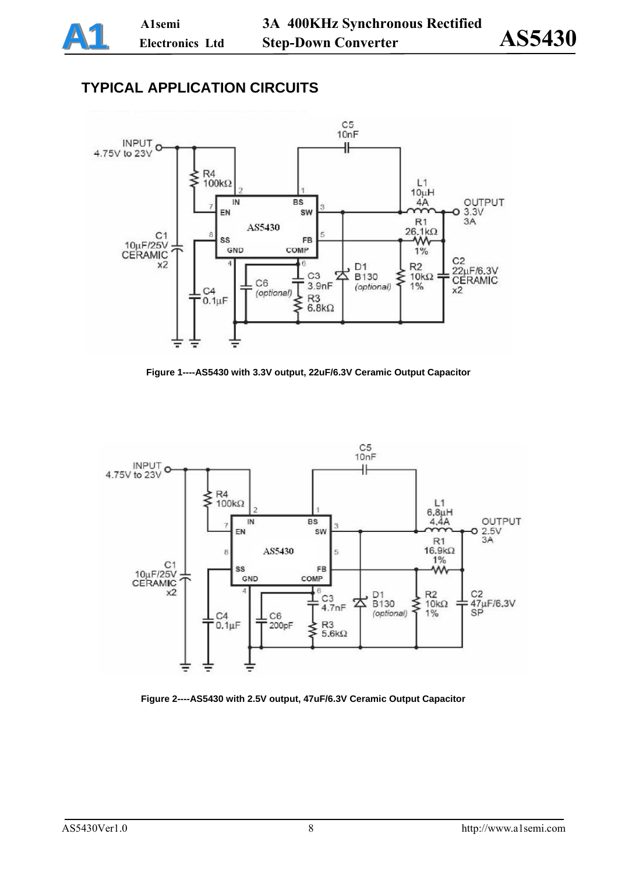# **TYPICAL APPLICATION CIRCUITS**



**Figure 1----AS5430 with 3.3V output, 22uF/6.3V Ceramic Output Capacitor** 



**Figure 2----AS5430 with 2.5V output, 47uF/6.3V Ceramic Output Capacitor**